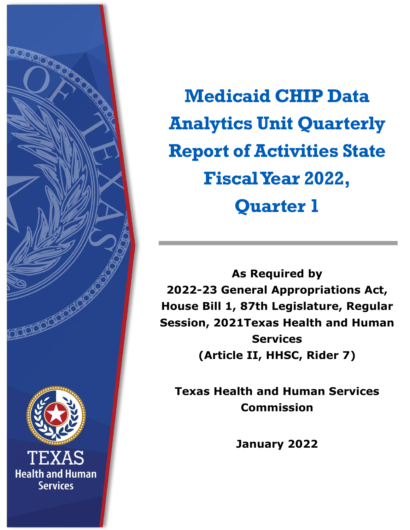<span id="page-0-0"></span>

**Medicaid CHIP Data Analytics Unit Quarterly Report of Activities State Fiscal Year 2022, Quarter 1**

**As Required by 2022-23 General Appropriations Act, House Bill 1, 87th Legislature, Regular Session, 2021Texas Health and Human Services (Article II, HHSC, Rider 7)** 

**Texas Health and Human Services Commission**

**January 2022**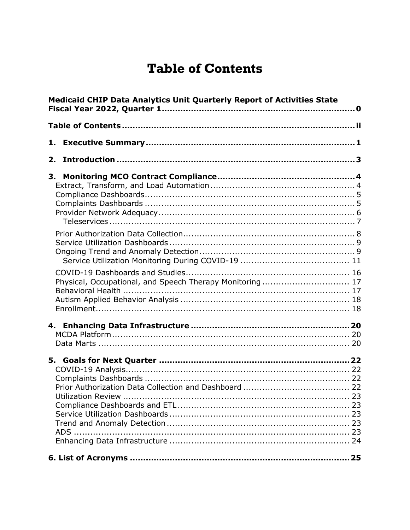### **Table of Contents**

<span id="page-1-0"></span>

| <b>Medicaid CHIP Data Analytics Unit Quarterly Report of Activities State</b> |                                                          |  |  |
|-------------------------------------------------------------------------------|----------------------------------------------------------|--|--|
|                                                                               |                                                          |  |  |
|                                                                               |                                                          |  |  |
| 2.                                                                            |                                                          |  |  |
| 3.                                                                            | Physical, Occupational, and Speech Therapy Monitoring 17 |  |  |
|                                                                               |                                                          |  |  |
|                                                                               |                                                          |  |  |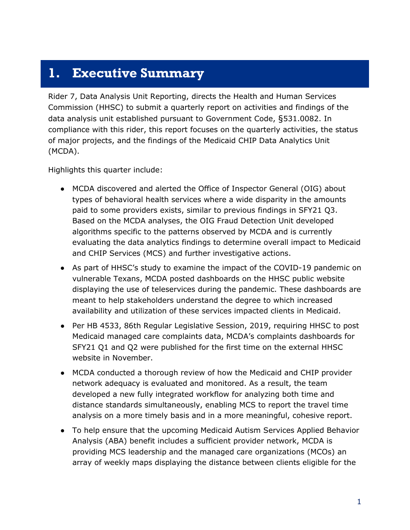#### <span id="page-2-0"></span>**1. Executive Summary**

Rider 7, Data Analysis Unit Reporting, directs the Health and Human Services Commission (HHSC) to submit a quarterly report on activities and findings of the data analysis unit established pursuant to Government Code, §531.0082. In compliance with this rider, this report focuses on the quarterly activities, the status of major projects, and the findings of the Medicaid CHIP Data Analytics Unit (MCDA).

Highlights this quarter include:

- MCDA discovered and alerted the Office of Inspector General (OIG) about types of behavioral health services where a wide disparity in the amounts paid to some providers exists, similar to previous findings in SFY21 Q3. Based on the MCDA analyses, the OIG Fraud Detection Unit developed algorithms specific to the patterns observed by MCDA and is currently evaluating the data analytics findings to determine overall impact to Medicaid and CHIP Services (MCS) and further investigative actions.
- As part of HHSC's study to examine the impact of the COVID-19 pandemic on vulnerable Texans, MCDA posted dashboards on the HHSC public website displaying the use of teleservices during the pandemic. These dashboards are meant to help stakeholders understand the degree to which increased availability and utilization of these services impacted clients in Medicaid.
- Per HB 4533, 86th Regular Legislative Session, 2019, requiring HHSC to post Medicaid managed care complaints data, MCDA's complaints dashboards for SFY21 Q1 and Q2 were published for the first time on the external HHSC website in November.
- MCDA conducted a thorough review of how the Medicaid and CHIP provider network adequacy is evaluated and monitored. As a result, the team developed a new fully integrated workflow for analyzing both time and distance standards simultaneously, enabling MCS to report the travel time analysis on a more timely basis and in a more meaningful, cohesive report.
- To help ensure that the upcoming Medicaid Autism Services Applied Behavior Analysis (ABA) benefit includes a sufficient provider network, MCDA is providing MCS leadership and the managed care organizations (MCOs) an array of weekly maps displaying the distance between clients eligible for the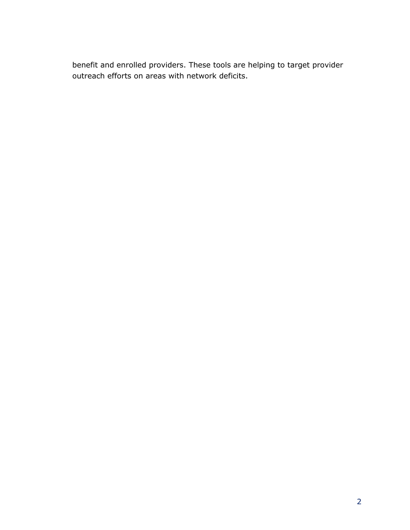benefit and enrolled providers. These tools are helping to target provider outreach efforts on areas with network deficits.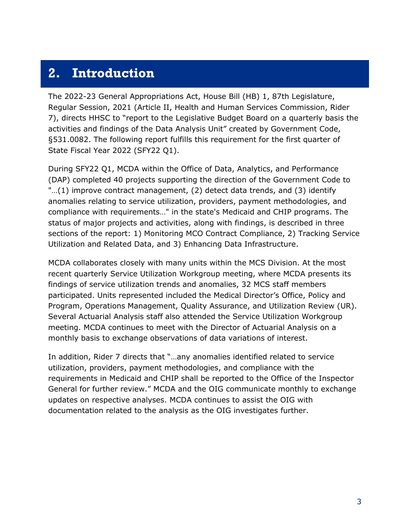#### <span id="page-4-0"></span>**2. Introduction**

The 2022-23 General Appropriations Act, House Bill (HB) 1, 87th Legislature, Regular Session, 2021 (Article II, Health and Human Services Commission, Rider 7), directs HHSC to "report to the Legislative Budget Board on a quarterly basis the activities and findings of the Data Analysis Unit" created by Government Code, §531.0082. The following report fulfills this requirement for the first quarter of State Fiscal Year 2022 (SFY22 Q1).

During SFY22 Q1, MCDA within the Office of Data, Analytics, and Performance (DAP) completed 40 projects supporting the direction of the Government Code to "…(1) improve contract management, (2) detect data trends, and (3) identify anomalies relating to service utilization, providers, payment methodologies, and compliance with requirements…" in the state's Medicaid and CHIP programs. The status of major projects and activities, along with findings, is described in three sections of the report: 1) Monitoring MCO Contract Compliance, 2) Tracking Service Utilization and Related Data, and 3) Enhancing Data Infrastructure.

MCDA collaborates closely with many units within the MCS Division. At the most recent quarterly Service Utilization Workgroup meeting, where MCDA presents its findings of service utilization trends and anomalies, 32 MCS staff members participated. Units represented included the Medical Director's Office, Policy and Program, Operations Management, Quality Assurance, and Utilization Review (UR). Several Actuarial Analysis staff also attended the Service Utilization Workgroup meeting. MCDA continues to meet with the Director of Actuarial Analysis on a monthly basis to exchange observations of data variations of interest.

In addition, Rider 7 directs that "…any anomalies identified related to service utilization, providers, payment methodologies, and compliance with the requirements in Medicaid and CHIP shall be reported to the Office of the Inspector General for further review." MCDA and the OIG communicate monthly to exchange updates on respective analyses. MCDA continues to assist the OIG with documentation related to the analysis as the OIG investigates further.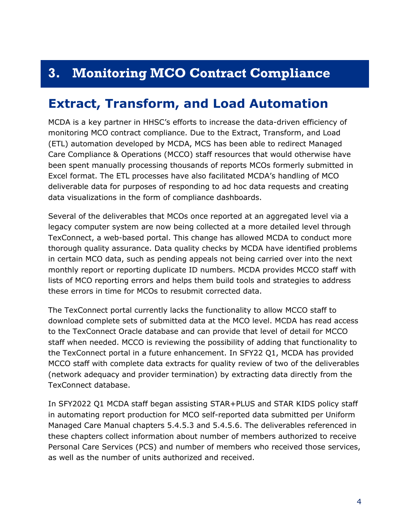### <span id="page-5-0"></span>**3. Monitoring MCO Contract Compliance**

#### <span id="page-5-1"></span>**Extract, Transform, and Load Automation**

MCDA is a key partner in HHSC's efforts to increase the data-driven efficiency of monitoring MCO contract compliance. Due to the Extract, Transform, and Load (ETL) automation developed by MCDA, MCS has been able to redirect Managed Care Compliance & Operations (MCCO) staff resources that would otherwise have been spent manually processing thousands of reports MCOs formerly submitted in Excel format. The ETL processes have also facilitated MCDA's handling of MCO deliverable data for purposes of responding to ad hoc data requests and creating data visualizations in the form of compliance dashboards.

Several of the deliverables that MCOs once reported at an aggregated level via a legacy computer system are now being collected at a more detailed level through TexConnect, a web-based portal. This change has allowed MCDA to conduct more thorough quality assurance. Data quality checks by MCDA have identified problems in certain MCO data, such as pending appeals not being carried over into the next monthly report or reporting duplicate ID numbers. MCDA provides MCCO staff with lists of MCO reporting errors and helps them build tools and strategies to address these errors in time for MCOs to resubmit corrected data.

The TexConnect portal currently lacks the functionality to allow MCCO staff to download complete sets of submitted data at the MCO level. MCDA has read access to the TexConnect Oracle database and can provide that level of detail for MCCO staff when needed. MCCO is reviewing the possibility of adding that functionality to the TexConnect portal in a future enhancement. In SFY22 Q1, MCDA has provided MCCO staff with complete data extracts for quality review of two of the deliverables (network adequacy and provider termination) by extracting data directly from the TexConnect database.

In SFY2022 Q1 MCDA staff began assisting STAR+PLUS and STAR KIDS policy staff in automating report production for MCO self-reported data submitted per Uniform Managed Care Manual chapters 5.4.5.3 and 5.4.5.6. The deliverables referenced in these chapters collect information about number of members authorized to receive Personal Care Services (PCS) and number of members who received those services, as well as the number of units authorized and received.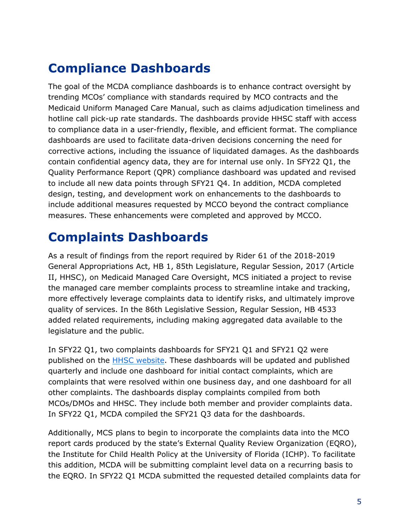# <span id="page-6-0"></span>**Compliance Dashboards**

The goal of the MCDA compliance dashboards is to enhance contract oversight by trending MCOs' compliance with standards required by MCO contracts and the Medicaid Uniform Managed Care Manual, such as claims adjudication timeliness and hotline call pick-up rate standards. The dashboards provide HHSC staff with access to compliance data in a user-friendly, flexible, and efficient format. The compliance dashboards are used to facilitate data-driven decisions concerning the need for corrective actions, including the issuance of liquidated damages. As the dashboards contain confidential agency data, they are for internal use only. In SFY22 Q1, the Quality Performance Report (QPR) compliance dashboard was updated and revised to include all new data points through SFY21 Q4. In addition, MCDA completed design, testing, and development work on enhancements to the dashboards to include additional measures requested by MCCO beyond the contract compliance measures. These enhancements were completed and approved by MCCO.

### <span id="page-6-1"></span>**Complaints Dashboards**

As a result of findings from the report required by Rider 61 of the 2018-2019 General Appropriations Act, HB 1, 85th Legislature, Regular Session, 2017 (Article II, HHSC), on Medicaid Managed Care Oversight, MCS initiated a project to revise the managed care member complaints process to streamline intake and tracking, more effectively leverage complaints data to identify risks, and ultimately improve quality of services. In the 86th Legislative Session, Regular Session, HB 4533 added related requirements, including making aggregated data available to the legislature and the public.

In SFY22 Q1, two complaints dashboards for SFY21 Q1 and SFY21 Q2 were published on the **HHSC website**. These dashboards will be updated and published quarterly and include one dashboard for initial contact complaints, which are complaints that were resolved within one business day, and one dashboard for all other complaints. The dashboards display complaints compiled from both MCOs/DMOs and HHSC. They include both member and provider complaints data. In SFY22 Q1, MCDA compiled the SFY21 Q3 data for the dashboards.

Additionally, MCS plans to begin to incorporate the complaints data into the MCO report cards produced by the state's External Quality Review Organization (EQRO), the Institute for Child Health Policy at the University of Florida (ICHP). To facilitate this addition, MCDA will be submitting complaint level data on a recurring basis to the EQRO. In SFY22 Q1 MCDA submitted the requested detailed complaints data for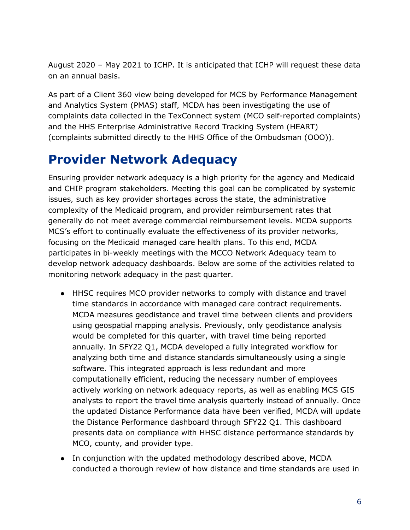August 2020 – May 2021 to ICHP. It is anticipated that ICHP will request these data on an annual basis.

As part of a Client 360 view being developed for MCS by Performance Management and Analytics System (PMAS) staff, MCDA has been investigating the use of complaints data collected in the TexConnect system (MCO self-reported complaints) and the HHS Enterprise Administrative Record Tracking System (HEART) (complaints submitted directly to the HHS Office of the Ombudsman (OOO)).

#### <span id="page-7-0"></span>**Provider Network Adequacy**

Ensuring provider network adequacy is a high priority for the agency and Medicaid and CHIP program stakeholders. Meeting this goal can be complicated by systemic issues, such as key provider shortages across the state, the administrative complexity of the Medicaid program, and provider reimbursement rates that generally do not meet average commercial reimbursement levels. MCDA supports MCS's effort to continually evaluate the effectiveness of its provider networks, focusing on the Medicaid managed care health plans. To this end, MCDA participates in bi-weekly meetings with the MCCO Network Adequacy team to develop network adequacy dashboards. Below are some of the activities related to monitoring network adequacy in the past quarter.

- HHSC requires MCO provider networks to comply with distance and travel time standards in accordance with managed care contract requirements. MCDA measures geodistance and travel time between clients and providers using geospatial mapping analysis. Previously, only geodistance analysis would be completed for this quarter, with travel time being reported annually. In SFY22 Q1, MCDA developed a fully integrated workflow for analyzing both time and distance standards simultaneously using a single software. This integrated approach is less redundant and more computationally efficient, reducing the necessary number of employees actively working on network adequacy reports, as well as enabling MCS GIS analysts to report the travel time analysis quarterly instead of annually. Once the updated Distance Performance data have been verified, MCDA will update the Distance Performance dashboard through SFY22 Q1. This dashboard presents data on compliance with HHSC distance performance standards by MCO, county, and provider type.
- In conjunction with the updated methodology described above, MCDA conducted a thorough review of how distance and time standards are used in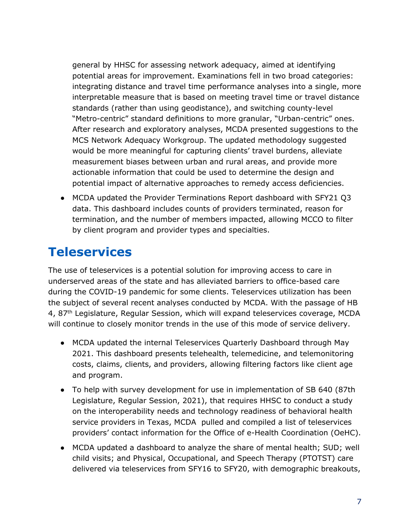general by HHSC for assessing network adequacy, aimed at identifying potential areas for improvement. Examinations fell in two broad categories: integrating distance and travel time performance analyses into a single, more interpretable measure that is based on meeting travel time or travel distance standards (rather than using geodistance), and switching county-level "Metro-centric" standard definitions to more granular, "Urban-centric" ones. After research and exploratory analyses, MCDA presented suggestions to the MCS Network Adequacy Workgroup. The updated methodology suggested would be more meaningful for capturing clients' travel burdens, alleviate measurement biases between urban and rural areas, and provide more actionable information that could be used to determine the design and potential impact of alternative approaches to remedy access deficiencies.

● MCDA updated the Provider Terminations Report dashboard with SFY21 Q3 data. This dashboard includes counts of providers terminated, reason for termination, and the number of members impacted, allowing MCCO to filter by client program and provider types and specialties.

#### <span id="page-8-0"></span>**Teleservices**

The use of teleservices is a potential solution for improving access to care in underserved areas of the state and has alleviated barriers to office-based care during the COVID-19 pandemic for some clients. Teleservices utilization has been the subject of several recent analyses conducted by MCDA. With the passage of HB 4, 87<sup>th</sup> Legislature, Regular Session, which will expand teleservices coverage, MCDA will continue to closely monitor trends in the use of this mode of service delivery.

- MCDA updated the internal Teleservices Quarterly Dashboard through May 2021. This dashboard presents telehealth, telemedicine, and telemonitoring costs, claims, clients, and providers, allowing filtering factors like client age and program.
- To help with survey development for use in implementation of SB 640 (87th Legislature, Regular Session, 2021), that requires HHSC to conduct a study on the interoperability needs and technology readiness of behavioral health service providers in Texas, MCDA pulled and compiled a list of teleservices providers' contact information for the Office of e-Health Coordination (OeHC).
- MCDA updated a dashboard to analyze the share of mental health; SUD; well child visits; and Physical, Occupational, and Speech Therapy (PTOTST) care delivered via teleservices from SFY16 to SFY20, with demographic breakouts,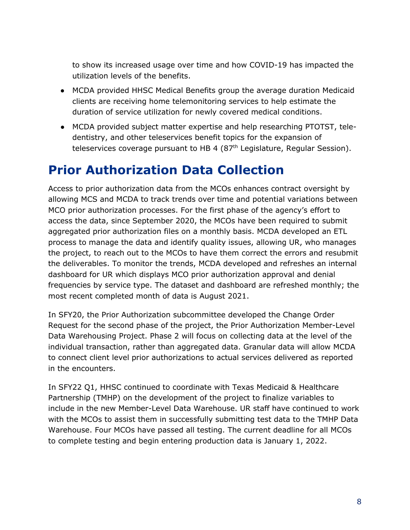to show its increased usage over time and how COVID-19 has impacted the utilization levels of the benefits.

- MCDA provided HHSC Medical Benefits group the average duration Medicaid clients are receiving home telemonitoring services to help estimate the duration of service utilization for newly covered medical conditions.
- MCDA provided subject matter expertise and help researching PTOTST, teledentistry, and other teleservices benefit topics for the expansion of teleservices coverage pursuant to HB 4 (87<sup>th</sup> Legislature, Regular Session).

#### <span id="page-9-0"></span>**Prior Authorization Data Collection**

Access to prior authorization data from the MCOs enhances contract oversight by allowing MCS and MCDA to track trends over time and potential variations between MCO prior authorization processes. For the first phase of the agency's effort to access the data, since September 2020, the MCOs have been required to submit aggregated prior authorization files on a monthly basis. MCDA developed an ETL process to manage the data and identify quality issues, allowing UR, who manages the project, to reach out to the MCOs to have them correct the errors and resubmit the deliverables. To monitor the trends, MCDA developed and refreshes an internal dashboard for UR which displays MCO prior authorization approval and denial frequencies by service type. The dataset and dashboard are refreshed monthly; the most recent completed month of data is August 2021.

In SFY20, the Prior Authorization subcommittee developed the Change Order Request for the second phase of the project, the Prior Authorization Member-Level Data Warehousing Project. Phase 2 will focus on collecting data at the level of the individual transaction, rather than aggregated data. Granular data will allow MCDA to connect client level prior authorizations to actual services delivered as reported in the encounters.

In SFY22 Q1, HHSC continued to coordinate with Texas Medicaid & Healthcare Partnership (TMHP) on the development of the project to finalize variables to include in the new Member-Level Data Warehouse. UR staff have continued to work with the MCOs to assist them in successfully submitting test data to the TMHP Data Warehouse. Four MCOs have passed all testing. The current deadline for all MCOs to complete testing and begin entering production data is January 1, 2022.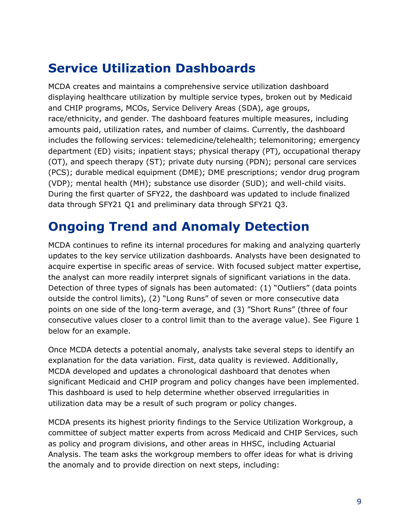# <span id="page-10-0"></span>**Service Utilization Dashboards**

MCDA creates and maintains a comprehensive service utilization dashboard displaying healthcare utilization by multiple service types, broken out by Medicaid and CHIP programs, MCOs, Service Delivery Areas (SDA), age groups, race/ethnicity, and gender. The dashboard features multiple measures, including amounts paid, utilization rates, and number of claims. Currently, the dashboard includes the following services: telemedicine/telehealth; telemonitoring; emergency department (ED) visits; inpatient stays; physical therapy (PT), occupational therapy (OT), and speech therapy (ST); private duty nursing (PDN); personal care services (PCS); durable medical equipment (DME); DME prescriptions; vendor drug program (VDP); mental health (MH); substance use disorder (SUD); and well-child visits. During the first quarter of SFY22, the dashboard was updated to include finalized data through SFY21 Q1 and preliminary data through SFY21 Q3.

#### <span id="page-10-1"></span>**Ongoing Trend and Anomaly Detection**

MCDA continues to refine its internal procedures for making and analyzing quarterly updates to the key service utilization dashboards. Analysts have been designated to acquire expertise in specific areas of service. With focused subject matter expertise, the analyst can more readily interpret signals of significant variations in the data. Detection of three types of signals has been automated: (1) "Outliers" (data points outside the control limits), (2) "Long Runs" of seven or more consecutive data points on one side of the long-term average, and (3) "Short Runs" (three of four consecutive values closer to a control limit than to the average value). See Figure 1 below for an example.

Once MCDA detects a potential anomaly, analysts take several steps to identify an explanation for the data variation. First, data quality is reviewed. Additionally, MCDA developed and updates a chronological dashboard that denotes when significant Medicaid and CHIP program and policy changes have been implemented. This dashboard is used to help determine whether observed irregularities in utilization data may be a result of such program or policy changes.

MCDA presents its highest priority findings to the Service Utilization Workgroup, a committee of subject matter experts from across Medicaid and CHIP Services, such as policy and program divisions, and other areas in HHSC, including Actuarial Analysis. The team asks the workgroup members to offer ideas for what is driving the anomaly and to provide direction on next steps, including: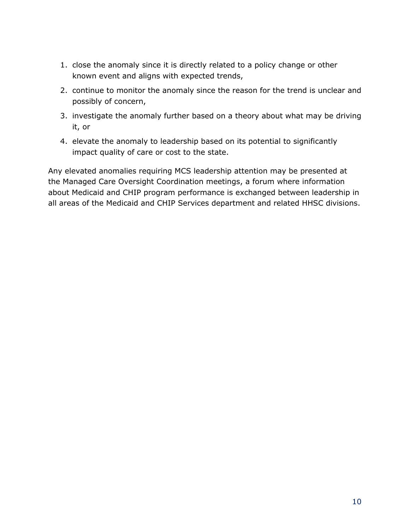- 1. close the anomaly since it is directly related to a policy change or other known event and aligns with expected trends,
- 2. continue to monitor the anomaly since the reason for the trend is unclear and possibly of concern,
- 3. investigate the anomaly further based on a theory about what may be driving it, or
- 4. elevate the anomaly to leadership based on its potential to significantly impact quality of care or cost to the state.

Any elevated anomalies requiring MCS leadership attention may be presented at the Managed Care Oversight Coordination meetings, a forum where information about Medicaid and CHIP program performance is exchanged between leadership in all areas of the Medicaid and CHIP Services department and related HHSC divisions.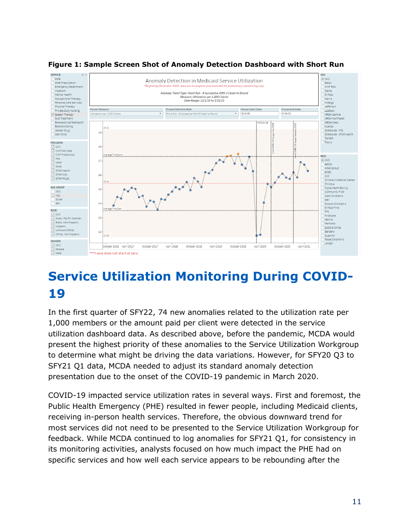

#### **Figure 1: Sample Screen Shot of Anomaly Detection Dashboard with Short Run**

# <span id="page-12-0"></span>**Service Utilization Monitoring During COVID-19**

In the first quarter of SFY22, 74 new anomalies related to the utilization rate per 1,000 members or the amount paid per client were detected in the service utilization dashboard data. As described above, before the pandemic, MCDA would present the highest priority of these anomalies to the Service Utilization Workgroup to determine what might be driving the data variations. However, for SFY20 Q3 to SFY21 Q1 data, MCDA needed to adjust its standard anomaly detection presentation due to the onset of the COVID-19 pandemic in March 2020.

COVID-19 impacted service utilization rates in several ways. First and foremost, the Public Health Emergency (PHE) resulted in fewer people, including Medicaid clients, receiving in-person health services. Therefore, the obvious downward trend for most services did not need to be presented to the Service Utilization Workgroup for feedback. While MCDA continued to log anomalies for SFY21 Q1, for consistency in its monitoring activities, analysts focused on how much impact the PHE had on specific services and how well each service appears to be rebounding after the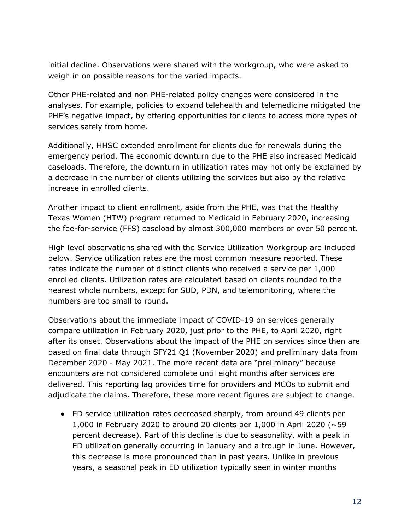initial decline. Observations were shared with the workgroup, who were asked to weigh in on possible reasons for the varied impacts.

Other PHE-related and non PHE-related policy changes were considered in the analyses. For example, policies to expand telehealth and telemedicine mitigated the PHE's negative impact, by offering opportunities for clients to access more types of services safely from home.

Additionally, HHSC extended enrollment for clients due for renewals during the emergency period. The economic downturn due to the PHE also increased Medicaid caseloads. Therefore, the downturn in utilization rates may not only be explained by a decrease in the number of clients utilizing the services but also by the relative increase in enrolled clients.

Another impact to client enrollment, aside from the PHE, was that the Healthy Texas Women (HTW) program returned to Medicaid in February 2020, increasing the fee-for-service (FFS) caseload by almost 300,000 members or over 50 percent.

High level observations shared with the Service Utilization Workgroup are included below. Service utilization rates are the most common measure reported. These rates indicate the number of distinct clients who received a service per 1,000 enrolled clients. Utilization rates are calculated based on clients rounded to the nearest whole numbers, except for SUD, PDN, and telemonitoring, where the numbers are too small to round.

Observations about the immediate impact of COVID-19 on services generally compare utilization in February 2020, just prior to the PHE, to April 2020, right after its onset. Observations about the impact of the PHE on services since then are based on final data through SFY21 Q1 (November 2020) and preliminary data from December 2020 - May 2021. The more recent data are "preliminary" because encounters are not considered complete until eight months after services are delivered. This reporting lag provides time for providers and MCOs to submit and adjudicate the claims. Therefore, these more recent figures are subject to change.

● ED service utilization rates decreased sharply, from around 49 clients per 1,000 in February 2020 to around 20 clients per 1,000 in April 2020 ( $\sim$ 59 percent decrease). Part of this decline is due to seasonality, with a peak in ED utilization generally occurring in January and a trough in June. However, this decrease is more pronounced than in past years. Unlike in previous years, a seasonal peak in ED utilization typically seen in winter months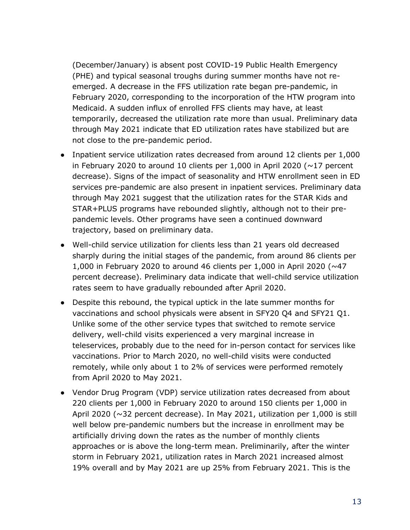(December/January) is absent post COVID-19 Public Health Emergency (PHE) and typical seasonal troughs during summer months have not reemerged. A decrease in the FFS utilization rate began pre-pandemic, in February 2020, corresponding to the incorporation of the HTW program into Medicaid. A sudden influx of enrolled FFS clients may have, at least temporarily, decreased the utilization rate more than usual. Preliminary data through May 2021 indicate that ED utilization rates have stabilized but are not close to the pre-pandemic period.

- Inpatient service utilization rates decreased from around 12 clients per 1,000 in February 2020 to around 10 clients per 1,000 in April 2020 ( $\sim$ 17 percent decrease). Signs of the impact of seasonality and HTW enrollment seen in ED services pre-pandemic are also present in inpatient services. Preliminary data through May 2021 suggest that the utilization rates for the STAR Kids and STAR+PLUS programs have rebounded slightly, although not to their prepandemic levels. Other programs have seen a continued downward trajectory, based on preliminary data.
- Well-child service utilization for clients less than 21 years old decreased sharply during the initial stages of the pandemic, from around 86 clients per 1,000 in February 2020 to around 46 clients per 1,000 in April 2020 (~47 percent decrease). Preliminary data indicate that well-child service utilization rates seem to have gradually rebounded after April 2020.
- Despite this rebound, the typical uptick in the late summer months for vaccinations and school physicals were absent in SFY20 Q4 and SFY21 Q1. Unlike some of the other service types that switched to remote service delivery, well-child visits experienced a very marginal increase in teleservices, probably due to the need for in-person contact for services like vaccinations. Prior to March 2020, no well-child visits were conducted remotely, while only about 1 to 2% of services were performed remotely from April 2020 to May 2021.
- Vendor Drug Program (VDP) service utilization rates decreased from about 220 clients per 1,000 in February 2020 to around 150 clients per 1,000 in April 2020 (~32 percent decrease). In May 2021, utilization per 1,000 is still well below pre-pandemic numbers but the increase in enrollment may be artificially driving down the rates as the number of monthly clients approaches or is above the long-term mean. Preliminarily, after the winter storm in February 2021, utilization rates in March 2021 increased almost 19% overall and by May 2021 are up 25% from February 2021. This is the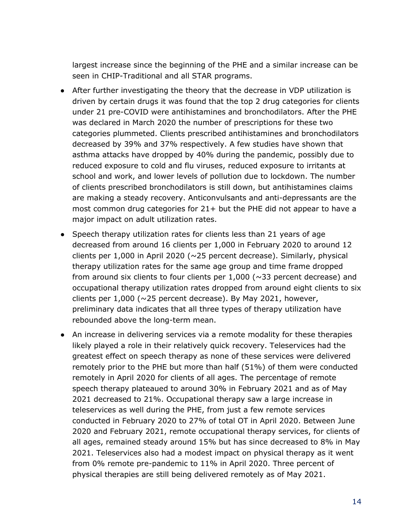largest increase since the beginning of the PHE and a similar increase can be seen in CHIP-Traditional and all STAR programs.

- After further investigating the theory that the decrease in VDP utilization is driven by certain drugs it was found that the top 2 drug categories for clients under 21 pre-COVID were antihistamines and bronchodilators. After the PHE was declared in March 2020 the number of prescriptions for these two categories plummeted. Clients prescribed antihistamines and bronchodilators decreased by 39% and 37% respectively. A few studies have shown that asthma attacks have dropped by 40% during the pandemic, possibly due to reduced exposure to cold and flu viruses, reduced exposure to irritants at school and work, and lower levels of pollution due to lockdown. The number of clients prescribed bronchodilators is still down, but antihistamines claims are making a steady recovery. Anticonvulsants and anti-depressants are the most common drug categories for 21+ but the PHE did not appear to have a major impact on adult utilization rates.
- Speech therapy utilization rates for clients less than 21 years of age decreased from around 16 clients per 1,000 in February 2020 to around 12 clients per 1,000 in April 2020 (~25 percent decrease). Similarly, physical therapy utilization rates for the same age group and time frame dropped from around six clients to four clients per  $1,000$  ( $\sim$ 33 percent decrease) and occupational therapy utilization rates dropped from around eight clients to six clients per  $1,000$  ( $\sim$ 25 percent decrease). By May 2021, however, preliminary data indicates that all three types of therapy utilization have rebounded above the long-term mean.
- An increase in delivering services via a remote modality for these therapies likely played a role in their relatively quick recovery. Teleservices had the greatest effect on speech therapy as none of these services were delivered remotely prior to the PHE but more than half (51%) of them were conducted remotely in April 2020 for clients of all ages. The percentage of remote speech therapy plateaued to around 30% in February 2021 and as of May 2021 decreased to 21%. Occupational therapy saw a large increase in teleservices as well during the PHE, from just a few remote services conducted in February 2020 to 27% of total OT in April 2020. Between June 2020 and February 2021, remote occupational therapy services, for clients of all ages, remained steady around 15% but has since decreased to 8% in May 2021. Teleservices also had a modest impact on physical therapy as it went from 0% remote pre-pandemic to 11% in April 2020. Three percent of physical therapies are still being delivered remotely as of May 2021.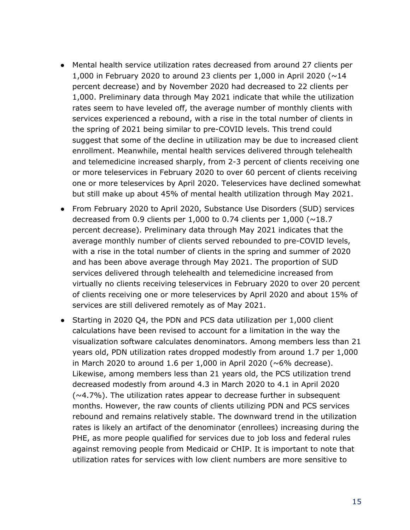- Mental health service utilization rates decreased from around 27 clients per 1,000 in February 2020 to around 23 clients per 1,000 in April 2020 ( $\sim$ 14 percent decrease) and by November 2020 had decreased to 22 clients per 1,000. Preliminary data through May 2021 indicate that while the utilization rates seem to have leveled off, the average number of monthly clients with services experienced a rebound, with a rise in the total number of clients in the spring of 2021 being similar to pre-COVID levels. This trend could suggest that some of the decline in utilization may be due to increased client enrollment. Meanwhile, mental health services delivered through telehealth and telemedicine increased sharply, from 2-3 percent of clients receiving one or more teleservices in February 2020 to over 60 percent of clients receiving one or more teleservices by April 2020. Teleservices have declined somewhat but still make up about 45% of mental health utilization through May 2021.
- From February 2020 to April 2020, Substance Use Disorders (SUD) services decreased from 0.9 clients per 1,000 to 0.74 clients per 1,000 ( $\sim$ 18.7 percent decrease). Preliminary data through May 2021 indicates that the average monthly number of clients served rebounded to pre-COVID levels, with a rise in the total number of clients in the spring and summer of 2020 and has been above average through May 2021. The proportion of SUD services delivered through telehealth and telemedicine increased from virtually no clients receiving teleservices in February 2020 to over 20 percent of clients receiving one or more teleservices by April 2020 and about 15% of services are still delivered remotely as of May 2021.
- Starting in 2020 Q4, the PDN and PCS data utilization per 1,000 client calculations have been revised to account for a limitation in the way the visualization software calculates denominators. Among members less than 21 years old, PDN utilization rates dropped modestly from around 1.7 per 1,000 in March 2020 to around 1.6 per 1,000 in April 2020 ( $\sim$ 6% decrease). Likewise, among members less than 21 years old, the PCS utilization trend decreased modestly from around 4.3 in March 2020 to 4.1 in April 2020  $(\sim 4.7\%)$ . The utilization rates appear to decrease further in subsequent months. However, the raw counts of clients utilizing PDN and PCS services rebound and remains relatively stable. The downward trend in the utilization rates is likely an artifact of the denominator (enrollees) increasing during the PHE, as more people qualified for services due to job loss and federal rules against removing people from Medicaid or CHIP. It is important to note that utilization rates for services with low client numbers are more sensitive to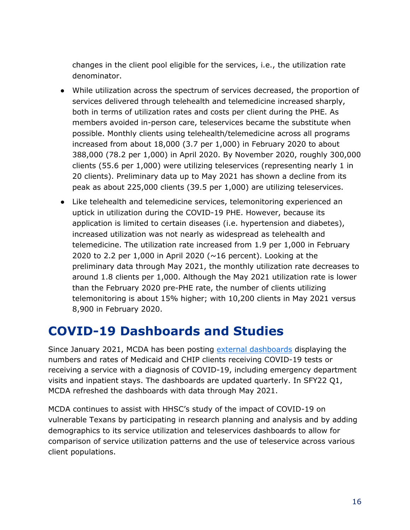changes in the client pool eligible for the services, i.e., the utilization rate denominator.

- While utilization across the spectrum of services decreased, the proportion of services delivered through telehealth and telemedicine increased sharply, both in terms of utilization rates and costs per client during the PHE. As members avoided in-person care, teleservices became the substitute when possible. Monthly clients using telehealth/telemedicine across all programs increased from about 18,000 (3.7 per 1,000) in February 2020 to about 388,000 (78.2 per 1,000) in April 2020. By November 2020, roughly 300,000 clients (55.6 per 1,000) were utilizing teleservices (representing nearly 1 in 20 clients). Preliminary data up to May 2021 has shown a decline from its peak as about 225,000 clients (39.5 per 1,000) are utilizing teleservices.
- Like telehealth and telemedicine services, telemonitoring experienced an uptick in utilization during the COVID-19 PHE. However, because its application is limited to certain diseases (i.e. hypertension and diabetes), increased utilization was not nearly as widespread as telehealth and telemedicine. The utilization rate increased from 1.9 per 1,000 in February 2020 to 2.2 per 1,000 in April 2020 ( $\sim$ 16 percent). Looking at the preliminary data through May 2021, the monthly utilization rate decreases to around 1.8 clients per 1,000. Although the May 2021 utilization rate is lower than the February 2020 pre-PHE rate, the number of clients utilizing telemonitoring is about 15% higher; with 10,200 clients in May 2021 versus 8,900 in February 2020.

#### <span id="page-17-0"></span>**COVID-19 Dashboards and Studies**

Since January 2021, MCDA has been posting external [dashboards](https://www.hhs.texas.gov/services/health/coronavirus-covid-19/texas-covid-19-case-count-vaccination-data) displaying the numbers and rates of Medicaid and CHIP clients receiving COVID-19 tests or receiving a service with a diagnosis of COVID-19, including emergency department visits and inpatient stays. The dashboards are updated quarterly. In SFY22 Q1, MCDA refreshed the dashboards with data through May 2021.

MCDA continues to assist with HHSC's study of the impact of COVID-19 on vulnerable Texans by participating in research planning and analysis and by adding demographics to its service utilization and teleservices dashboards to allow for comparison of service utilization patterns and the use of teleservice across various client populations.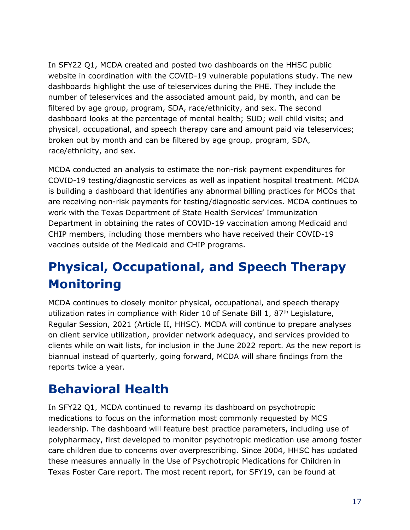In SFY22 Q1, MCDA created and posted two dashboards on the HHSC public website in coordination with the COVID-19 vulnerable populations study. The new dashboards highlight the use of teleservices during the PHE. They include the number of teleservices and the associated amount paid, by month, and can be filtered by age group, program, SDA, race/ethnicity, and sex. The second dashboard looks at the percentage of mental health; SUD; well child visits; and physical, occupational, and speech therapy care and amount paid via teleservices; broken out by month and can be filtered by age group, program, SDA, race/ethnicity, and sex.

MCDA conducted an analysis to estimate the non-risk payment expenditures for COVID-19 testing/diagnostic services as well as inpatient hospital treatment. MCDA is building a dashboard that identifies any abnormal billing practices for MCOs that are receiving non-risk payments for testing/diagnostic services. MCDA continues to work with the Texas Department of State Health Services' Immunization Department in obtaining the rates of COVID-19 vaccination among Medicaid and CHIP members, including those members who have received their COVID-19 vaccines outside of the Medicaid and CHIP programs.

# <span id="page-18-0"></span>**Physical, Occupational, and Speech Therapy Monitoring**

MCDA continues to closely monitor physical, occupational, and speech therapy utilization rates in compliance with Rider 10 of Senate Bill 1,  $87<sup>th</sup>$  Legislature, Regular Session, 2021 (Article II, HHSC). MCDA will continue to prepare analyses on client service utilization, provider network adequacy, and services provided to clients while on wait lists, for inclusion in the June 2022 report. As the new report is biannual instead of quarterly, going forward, MCDA will share findings from the reports twice a year.

# <span id="page-18-1"></span>**Behavioral Health**

In SFY22 Q1, MCDA continued to revamp its dashboard on psychotropic medications to focus on the information most commonly requested by MCS leadership. The dashboard will feature best practice parameters, including use of polypharmacy, first developed to monitor psychotropic medication use among foster care children due to concerns over overprescribing. Since 2004, HHSC has updated these measures annually in the Use of Psychotropic Medications for Children in Texas Foster Care report. The most recent report, for SFY19, can be found at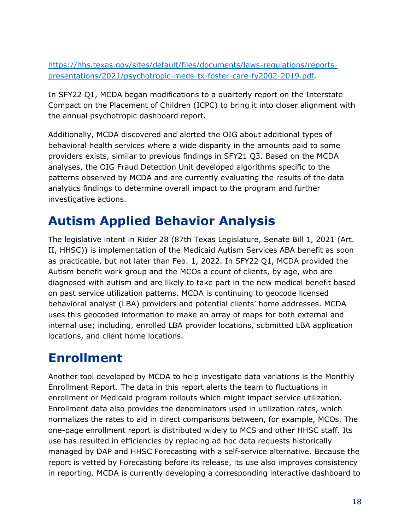[https://hhs.texas.gov/sites/default/files/documents/laws-regulations/reports](https://hhs.texas.gov/sites/default/files/documents/laws-regulations/reports-presentations/2021/psychotropic-meds-tx-foster-care-fy2002-2019.pdf)[presentations/2021/psychotropic-meds-tx-foster-care-fy2002-2019.pdf.](https://hhs.texas.gov/sites/default/files/documents/laws-regulations/reports-presentations/2021/psychotropic-meds-tx-foster-care-fy2002-2019.pdf)

In SFY22 Q1, MCDA began modifications to a quarterly report on the Interstate Compact on the Placement of Children (ICPC) to bring it into closer alignment with the annual psychotropic dashboard report.

Additionally, MCDA discovered and alerted the OIG about additional types of behavioral health services where a wide disparity in the amounts paid to some providers exists, similar to previous findings in SFY21 Q3. Based on the MCDA analyses, the OIG Fraud Detection Unit developed algorithms specific to the patterns observed by MCDA and are currently evaluating the results of the data analytics findings to determine overall impact to the program and further investigative actions.

# <span id="page-19-0"></span>**Autism Applied Behavior Analysis**

The legislative intent in Rider 28 (87th Texas Legislature, Senate Bill 1, 2021 (Art. II, HHSC)) is implementation of the Medicaid Autism Services ABA benefit as soon as practicable, but not later than Feb. 1, 2022. In SFY22 Q1, MCDA provided the Autism benefit work group and the MCOs a count of clients, by age, who are diagnosed with autism and are likely to take part in the new medical benefit based on past service utilization patterns. MCDA is continuing to geocode licensed behavioral analyst (LBA) providers and potential clients' home addresses. MCDA uses this geocoded information to make an array of maps for both external and internal use; including, enrolled LBA provider locations, submitted LBA application locations, and client home locations.

#### <span id="page-19-1"></span>**Enrollment**

Another tool developed by MCDA to help investigate data variations is the Monthly Enrollment Report. The data in this report alerts the team to fluctuations in enrollment or Medicaid program rollouts which might impact service utilization. Enrollment data also provides the denominators used in utilization rates, which normalizes the rates to aid in direct comparisons between, for example, MCOs. The one-page enrollment report is distributed widely to MCS and other HHSC staff. Its use has resulted in efficiencies by replacing ad hoc data requests historically managed by DAP and HHSC Forecasting with a self-service alternative. Because the report is vetted by Forecasting before its release, its use also improves consistency in reporting. MCDA is currently developing a corresponding interactive dashboard to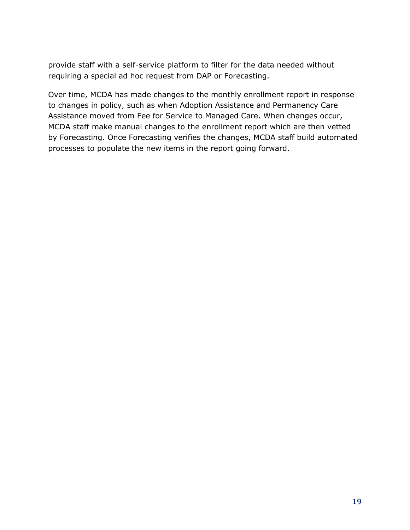provide staff with a self-service platform to filter for the data needed without requiring a special ad hoc request from DAP or Forecasting.

Over time, MCDA has made changes to the monthly enrollment report in response to changes in policy, such as when Adoption Assistance and Permanency Care Assistance moved from Fee for Service to Managed Care. When changes occur, MCDA staff make manual changes to the enrollment report which are then vetted by Forecasting. Once Forecasting verifies the changes, MCDA staff build automated processes to populate the new items in the report going forward.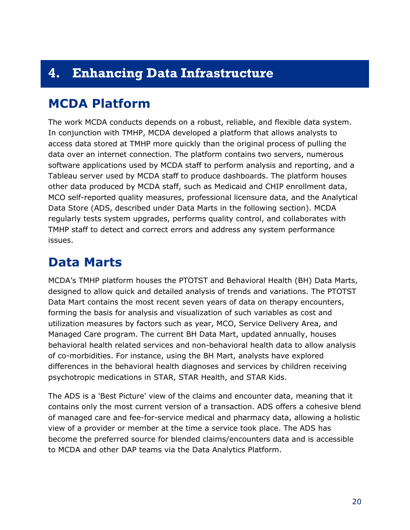### <span id="page-21-0"></span>**4. Enhancing Data Infrastructure**

#### <span id="page-21-1"></span>**MCDA Platform**

The work MCDA conducts depends on a robust, reliable, and flexible data system. In conjunction with TMHP, MCDA developed a platform that allows analysts to access data stored at TMHP more quickly than the original process of pulling the data over an internet connection. The platform contains two servers, numerous software applications used by MCDA staff to perform analysis and reporting, and a Tableau server used by MCDA staff to produce dashboards. The platform houses other data produced by MCDA staff, such as Medicaid and CHIP enrollment data, MCO self-reported quality measures, professional licensure data, and the Analytical Data Store (ADS, described under Data Marts in the following section). MCDA regularly tests system upgrades, performs quality control, and collaborates with TMHP staff to detect and correct errors and address any system performance issues.

#### <span id="page-21-2"></span>**Data Marts**

MCDA's TMHP platform houses the PTOTST and Behavioral Health (BH) Data Marts, designed to allow quick and detailed analysis of trends and variations. The PTOTST Data Mart contains the most recent seven years of data on therapy encounters, forming the basis for analysis and visualization of such variables as cost and utilization measures by factors such as year, MCO, Service Delivery Area, and Managed Care program. The current BH Data Mart, updated annually, houses behavioral health related services and non-behavioral health data to allow analysis of co-morbidities. For instance, using the BH Mart, analysts have explored differences in the behavioral health diagnoses and services by children receiving psychotropic medications in STAR, STAR Health, and STAR Kids.

The ADS is a 'Best Picture' view of the claims and encounter data, meaning that it contains only the most current version of a transaction. ADS offers a cohesive blend of managed care and fee-for-service medical and pharmacy data, allowing a holistic view of a provider or member at the time a service took place. The ADS has become the preferred source for blended claims/encounters data and is accessible to MCDA and other DAP teams via the Data Analytics Platform.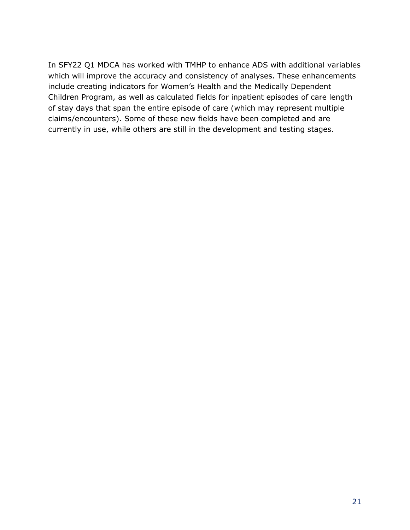In SFY22 Q1 MDCA has worked with TMHP to enhance ADS with additional variables which will improve the accuracy and consistency of analyses. These enhancements include creating indicators for Women's Health and the Medically Dependent Children Program, as well as calculated fields for inpatient episodes of care length of stay days that span the entire episode of care (which may represent multiple claims/encounters). Some of these new fields have been completed and are currently in use, while others are still in the development and testing stages.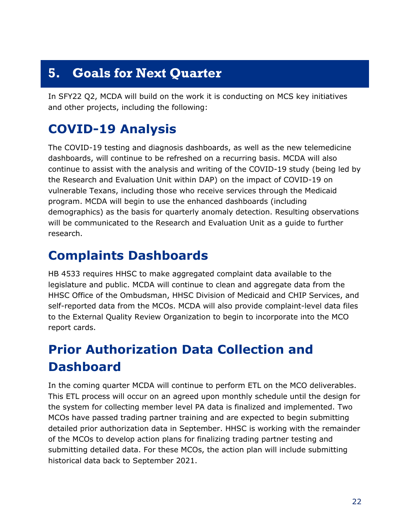# <span id="page-23-0"></span>**5. Goals for Next Quarter**

In SFY22 Q2, MCDA will build on the work it is conducting on MCS key initiatives and other projects, including the following:

# <span id="page-23-1"></span>**COVID-19 Analysis**

The COVID-19 testing and diagnosis dashboards, as well as the new telemedicine dashboards, will continue to be refreshed on a recurring basis. MCDA will also continue to assist with the analysis and writing of the COVID-19 study (being led by the Research and Evaluation Unit within DAP) on the impact of COVID-19 on vulnerable Texans, including those who receive services through the Medicaid program. MCDA will begin to use the enhanced dashboards (including demographics) as the basis for quarterly anomaly detection. Resulting observations will be communicated to the Research and Evaluation Unit as a guide to further research.

### <span id="page-23-2"></span>**Complaints Dashboards**

HB 4533 requires HHSC to make aggregated complaint data available to the legislature and public. MCDA will continue to clean and aggregate data from the HHSC Office of the Ombudsman, HHSC Division of Medicaid and CHIP Services, and self-reported data from the MCOs. MCDA will also provide complaint-level data files to the External Quality Review Organization to begin to incorporate into the MCO report cards.

# <span id="page-23-3"></span>**Prior Authorization Data Collection and Dashboard**

In the coming quarter MCDA will continue to perform ETL on the MCO deliverables. This ETL process will occur on an agreed upon monthly schedule until the design for the system for collecting member level PA data is finalized and implemented. Two MCOs have passed trading partner training and are expected to begin submitting detailed prior authorization data in September. HHSC is working with the remainder of the MCOs to develop action plans for finalizing trading partner testing and submitting detailed data. For these MCOs, the action plan will include submitting historical data back to September 2021.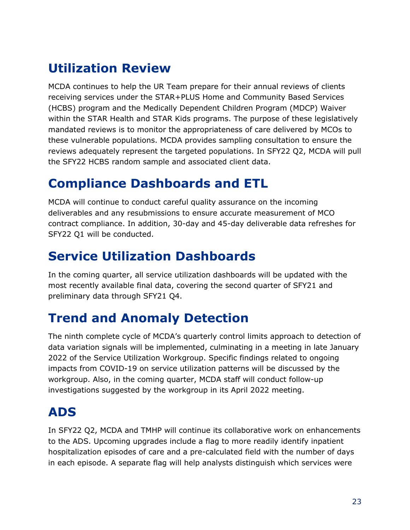# <span id="page-24-0"></span>**Utilization Review**

MCDA continues to help the UR Team prepare for their annual reviews of clients receiving services under the STAR+PLUS Home and Community Based Services (HCBS) program and the Medically Dependent Children Program (MDCP) Waiver within the STAR Health and STAR Kids programs. The purpose of these legislatively mandated reviews is to monitor the appropriateness of care delivered by MCOs to these vulnerable populations. MCDA provides sampling consultation to ensure the reviews adequately represent the targeted populations. In SFY22 Q2, MCDA will pull the SFY22 HCBS random sample and associated client data.

# <span id="page-24-1"></span>**Compliance Dashboards and ETL**

MCDA will continue to conduct careful quality assurance on the incoming deliverables and any resubmissions to ensure accurate measurement of MCO contract compliance. In addition, 30-day and 45-day deliverable data refreshes for SFY22 Q1 will be conducted.

# <span id="page-24-2"></span>**Service Utilization Dashboards**

In the coming quarter, all service utilization dashboards will be updated with the most recently available final data, covering the second quarter of SFY21 and preliminary data through SFY21 Q4.

# <span id="page-24-3"></span>**Trend and Anomaly Detection**

The ninth complete cycle of MCDA's quarterly control limits approach to detection of data variation signals will be implemented, culminating in a meeting in late January 2022 of the Service Utilization Workgroup. Specific findings related to ongoing impacts from COVID-19 on service utilization patterns will be discussed by the workgroup. Also, in the coming quarter, MCDA staff will conduct follow-up investigations suggested by the workgroup in its April 2022 meeting.

# <span id="page-24-4"></span>**ADS**

In SFY22 Q2, MCDA and TMHP will continue its collaborative work on enhancements to the ADS. Upcoming upgrades include a flag to more readily identify inpatient hospitalization episodes of care and a pre-calculated field with the number of days in each episode. A separate flag will help analysts distinguish which services were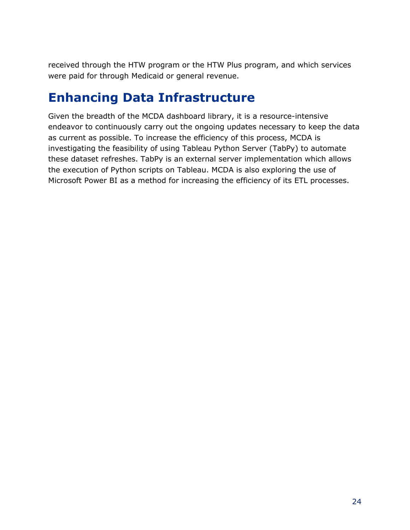received through the HTW program or the HTW Plus program, and which services were paid for through Medicaid or general revenue.

#### <span id="page-25-0"></span>**Enhancing Data Infrastructure**

Given the breadth of the MCDA dashboard library, it is a resource-intensive endeavor to continuously carry out the ongoing updates necessary to keep the data as current as possible. To increase the efficiency of this process, MCDA is investigating the feasibility of using Tableau Python Server (TabPy) to automate these dataset refreshes. TabPy is an external server implementation which allows the execution of Python scripts on Tableau. MCDA is also exploring the use of Microsoft Power BI as a method for increasing the efficiency of its ETL processes.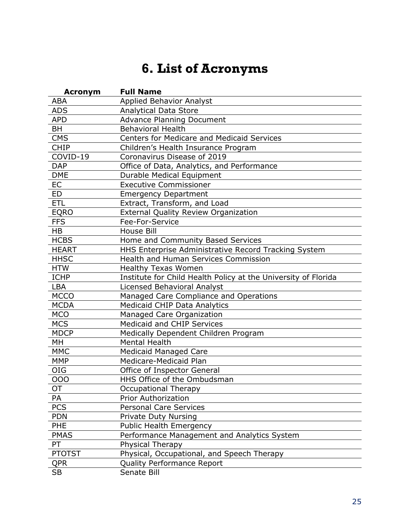# **6. List of Acronyms**

<span id="page-26-0"></span>

| <b>Acronym</b> | <b>Full Name</b>                                               |
|----------------|----------------------------------------------------------------|
| <b>ABA</b>     | <b>Applied Behavior Analyst</b>                                |
| <b>ADS</b>     | <b>Analytical Data Store</b>                                   |
| <b>APD</b>     | <b>Advance Planning Document</b>                               |
| BH             | <b>Behavioral Health</b>                                       |
| <b>CMS</b>     | Centers for Medicare and Medicaid Services                     |
| <b>CHIP</b>    | Children's Health Insurance Program                            |
| COVID-19       | Coronavirus Disease of 2019                                    |
| <b>DAP</b>     | Office of Data, Analytics, and Performance                     |
| <b>DME</b>     | Durable Medical Equipment                                      |
| EC             | <b>Executive Commissioner</b>                                  |
| ED             | <b>Emergency Department</b>                                    |
| <b>ETL</b>     | Extract, Transform, and Load                                   |
| <b>EQRO</b>    | External Quality Review Organization                           |
| <b>FFS</b>     | Fee-For-Service                                                |
| <b>HB</b>      | House Bill                                                     |
| <b>HCBS</b>    | Home and Community Based Services                              |
| <b>HEART</b>   | HHS Enterprise Administrative Record Tracking System           |
| <b>HHSC</b>    | Health and Human Services Commission                           |
| <b>HTW</b>     | <b>Healthy Texas Women</b>                                     |
| <b>ICHP</b>    | Institute for Child Health Policy at the University of Florida |
| LBA            | <b>Licensed Behavioral Analyst</b>                             |
| <b>MCCO</b>    | Managed Care Compliance and Operations                         |
| <b>MCDA</b>    | <b>Medicaid CHIP Data Analytics</b>                            |
| <b>MCO</b>     | Managed Care Organization                                      |
| <b>MCS</b>     | Medicaid and CHIP Services                                     |
| <b>MDCP</b>    | Medically Dependent Children Program                           |
| MH             | <b>Mental Health</b>                                           |
| <b>MMC</b>     | Medicaid Managed Care                                          |
| <b>MMP</b>     | Medicare-Medicaid Plan                                         |
| <b>OIG</b>     | Office of Inspector General                                    |
| 000            | HHS Office of the Ombudsman                                    |
| OT             | <b>Occupational Therapy</b>                                    |
| PA             | <b>Prior Authorization</b>                                     |
| <b>PCS</b>     | <b>Personal Care Services</b>                                  |
| <b>PDN</b>     | <b>Private Duty Nursing</b>                                    |
| PHE            | <b>Public Health Emergency</b>                                 |
| <b>PMAS</b>    | Performance Management and Analytics System                    |
| PT             | Physical Therapy                                               |
| <b>PTOTST</b>  | Physical, Occupational, and Speech Therapy                     |
| <b>QPR</b>     | Quality Performance Report                                     |
| <b>SB</b>      | Senate Bill                                                    |